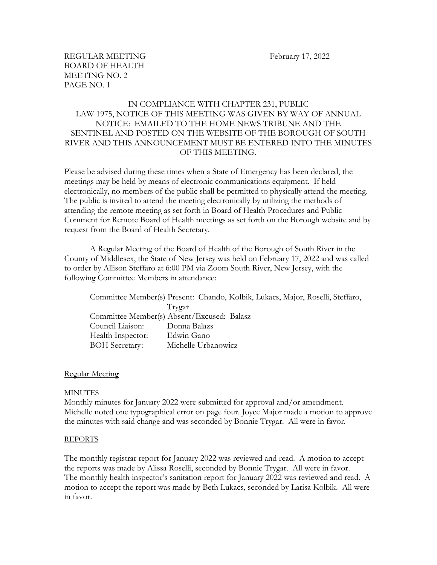# IN COMPLIANCE WITH CHAPTER 231, PUBLIC LAW 1975, NOTICE OF THIS MEETING WAS GIVEN BY WAY OF ANNUAL NOTICE: EMAILED TO THE HOME NEWS TRIBUNE AND THE SENTINEL AND POSTED ON THE WEBSITE OF THE BOROUGH OF SOUTH RIVER AND THIS ANNOUNCEMENT MUST BE ENTERED INTO THE MINUTES OF THIS MEETING.

Please be advised during these times when a State of Emergency has been declared, the meetings may be held by means of electronic communications equipment. If held electronically, no members of the public shall be permitted to physically attend the meeting. The public is invited to attend the meeting electronically by utilizing the methods of attending the remote meeting as set forth in Board of Health Procedures and Public Comment for Remote Board of Health meetings as set forth on the Borough website and by request from the Board of Health Secretary.

A Regular Meeting of the Board of Health of the Borough of South River in the County of Middlesex, the State of New Jersey was held on February 17, 2022 and was called to order by Allison Steffaro at 6:00 PM via Zoom South River, New Jersey, with the following Committee Members in attendance:

Committee Member(s) Present: Chando, Kolbik, Lukacs, Major, Roselli, Steffaro, Trygar Committee Member(s) Absent/Excused: Balasz Council Liaison: Donna Balazs Health Inspector: Edwin Gano BOH Secretary: Michelle Urbanowicz

#### Regular Meeting

#### MINUTES

Monthly minutes for January 2022 were submitted for approval and/or amendment. Michelle noted one typographical error on page four. Joyce Major made a motion to approve the minutes with said change and was seconded by Bonnie Trygar. All were in favor.

#### REPORTS

The monthly registrar report for January 2022 was reviewed and read. A motion to accept the reports was made by Alissa Roselli, seconded by Bonnie Trygar. All were in favor. The monthly health inspector's sanitation report for January 2022 was reviewed and read. A motion to accept the report was made by Beth Lukacs, seconded by Larisa Kolbik. All were in favor.